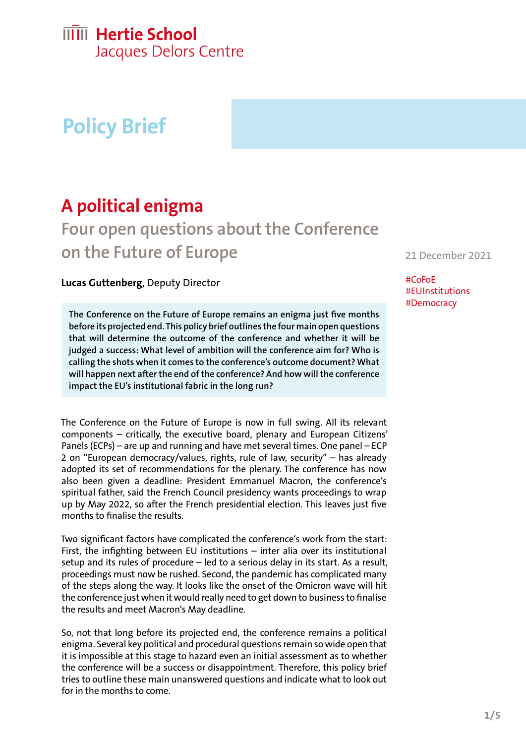# **IIIII** Hertie School

Jacques Delors Centre

# **Policy Brief**

## **A political enigma**

## **Four open questions about the Conference on the Future of Europe**

#### **Lucas Guttenberg**, Deputy Director

**The Conference on the Future of Europe remains an enigma just five months before its projected end. This policy brief outlines the four main open questions that will determine the outcome of the conference and whether it will be judged a success: What level of ambition will the conference aim for? Who is calling the shots when it comes to the conference's outcome document? What will happen next after the end of the conference? And how will the conference impact the EU's institutional fabric in the long run?**

The Conference on the Future of Europe is now in full swing. All its relevant components – critically, the executive board, plenary and European Citizens' Panels (ECPs) – are up and running and have met several times. One panel – ECP 2 on "European democracy/values, rights, rule of law, security" – has already adopted its set of recommendations for the plenary. The conference has now also been given a deadline: President Emmanuel Macron, the conference's spiritual father, said the French Council presidency wants proceedings to wrap up by May 2022, so after the French presidential election. This leaves just five months to finalise the results.

Two significant factors have complicated the conference's work from the start: First, the infighting between EU institutions – inter alia over its institutional setup and its rules of procedure – led to a serious delay in its start. As a result, proceedings must now be rushed. Second, the pandemic has complicated many of the steps along the way. It looks like the onset of the Omicron wave will hit the conference just when it would really need to get down to business to finalise the results and meet Macron's May deadline.

So, not that long before its projected end, the conference remains a political enigma. Several key political and procedural questions remain so wide open that it is impossible at this stage to hazard even an initial assessment as to whether the conference will be a success or disappointment. Therefore, this policy brief tries to outline these main unanswered questions and indicate what to look out for in the months to come.

21 December 2021

#CoFoE #EUInstitutions #Democracy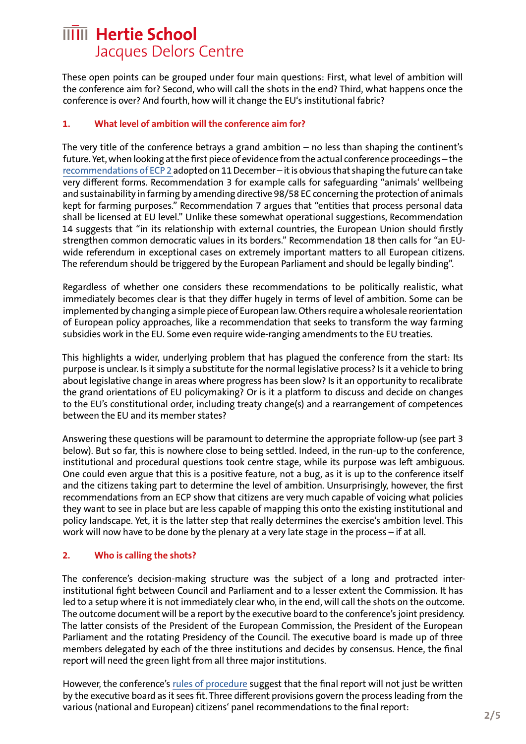### **IIIII** Hertie School Jacques Delors Centre

These open points can be grouped under four main questions: First, what level of ambition will the conference aim for? Second, who will call the shots in the end? Third, what happens once the conference is over? And fourth, how will it change the EU's institutional fabric?

#### **1. What level of ambition will the conference aim for?**

The very title of the conference betrays a grand ambition – no less than shaping the continent's future. Yet, when looking at the first piece of evidence from the actual conference proceedings – the [recommendations of ECP 2](https://futureu.europa.eu/assemblies/citizens-panels/f/299/) adopted on 11 December – it is obvious that shaping the future can take very different forms. Recommendation 3 for example calls for safeguarding "animals' wellbeing and sustainability in farming by amending directive 98/58 EC concerning the protection of animals kept for farming purposes." Recommendation 7 argues that "entities that process personal data shall be licensed at EU level." Unlike these somewhat operational suggestions, Recommendation 14 suggests that "in its relationship with external countries, the European Union should firstly strengthen common democratic values in its borders." Recommendation 18 then calls for "an EUwide referendum in exceptional cases on extremely important matters to all European citizens. The referendum should be triggered by the European Parliament and should be legally binding".

Regardless of whether one considers these recommendations to be politically realistic, what immediately becomes clear is that they differ hugely in terms of level of ambition. Some can be implemented by changing a simple piece of European law. Others require a wholesale reorientation of European policy approaches, like a recommendation that seeks to transform the way farming subsidies work in the EU. Some even require wide-ranging amendments to the EU treaties.

This highlights a wider, underlying problem that has plagued the conference from the start: Its purpose is unclear. Is it simply a substitute for the normal legislative process? Is it a vehicle to bring about legislative change in areas where progress has been slow? Is it an opportunity to recalibrate the grand orientations of EU policymaking? Or is it a platform to discuss and decide on changes to the EU's constitutional order, including treaty change(s) and a rearrangement of competences between the EU and its member states?

Answering these questions will be paramount to determine the appropriate follow-up (see part 3 below). But so far, this is nowhere close to being settled. Indeed, in the run-up to the conference, institutional and procedural questions took centre stage, while its purpose was left ambiguous. One could even argue that this is a positive feature, not a bug, as it is up to the conference itself and the citizens taking part to determine the level of ambition. Unsurprisingly, however, the first recommendations from an ECP show that citizens are very much capable of voicing what policies they want to see in place but are less capable of mapping this onto the existing institutional and policy landscape. Yet, it is the latter step that really determines the exercise's ambition level. This work will now have to be done by the plenary at a very late stage in the process – if at all.

#### **2. Who is calling the shots?**

The conference's decision-making structure was the subject of a long and protracted interinstitutional fight between Council and Parliament and to a lesser extent the Commission. It has led to a setup where it is not immediately clear who, in the end, will call the shots on the outcome. The outcome document will be a report by the executive board to the conference's joint presidency. The latter consists of the President of the European Commission, the President of the European Parliament and the rotating Presidency of the Council. The executive board is made up of three members delegated by each of the three institutions and decides by consensus. Hence, the final report will need the green light from all three major institutions.

However, the conference's [rules of procedure](https://futureu.europa.eu/uploads/decidim/attachment/file/27297/en.pdf) suggest that the final report will not just be written by the executive board as it sees fit. Three different provisions govern the process leading from the various (national and European) citizens' panel recommendations to the final report: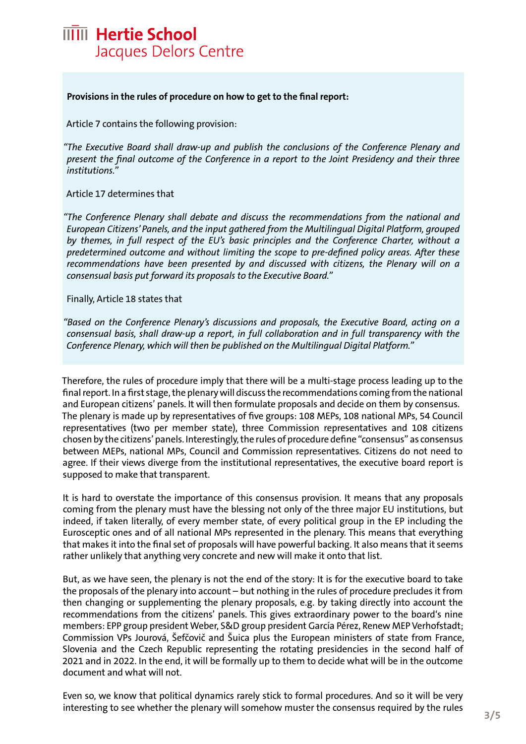

#### **Provisions in the rules of procedure on how to get to the final report:**

Article 7 contains the following provision:

*"The Executive Board shall draw-up and publish the conclusions of the Conference Plenary and present the final outcome of the Conference in a report to the Joint Presidency and their three institutions."* 

Article 17 determines that

*"The Conference Plenary shall debate and discuss the recommendations from the national and European Citizens' Panels, and the input gathered from the Multilingual Digital Platform, grouped by themes, in full respect of the EU's basic principles and the Conference Charter, without a predetermined outcome and without limiting the scope to pre-defined policy areas. After these recommendations have been presented by and discussed with citizens, the Plenary will on a consensual basis put forward its proposals to the Executive Board."*

Finally, Article 18 states that

*"Based on the Conference Plenary's discussions and proposals, the Executive Board, acting on a consensual basis, shall draw-up a report, in full collaboration and in full transparency with the Conference Plenary, which will then be published on the Multilingual Digital Platform."* 

Therefore, the rules of procedure imply that there will be a multi-stage process leading up to the final report. In a first stage, the plenary will discuss the recommendations coming from the national and European citizens' panels. It will then formulate proposals and decide on them by consensus. The plenary is made up by representatives of five groups: 108 MEPs, 108 national MPs, 54 Council representatives (two per member state), three Commission representatives and 108 citizens chosen by the citizens' panels. Interestingly, the rules of procedure define "consensus" as consensus between MEPs, national MPs, Council and Commission representatives. Citizens do not need to agree. If their views diverge from the institutional representatives, the executive board report is supposed to make that transparent.

It is hard to overstate the importance of this consensus provision. It means that any proposals coming from the plenary must have the blessing not only of the three major EU institutions, but indeed, if taken literally, of every member state, of every political group in the EP including the Eurosceptic ones and of all national MPs represented in the plenary. This means that everything that makes it into the final set of proposals will have powerful backing. It also means that it seems rather unlikely that anything very concrete and new will make it onto that list.

But, as we have seen, the plenary is not the end of the story: It is for the executive board to take the proposals of the plenary into account – but nothing in the rules of procedure precludes it from then changing or supplementing the plenary proposals, e.g. by taking directly into account the recommendations from the citizens' panels. This gives extraordinary power to the board's nine members: EPP group president Weber, S&D group president García Pérez, Renew MEP Verhofstadt; Commission VPs Jourová, Šefčovič and Šuica plus the European ministers of state from France, Slovenia and the Czech Republic representing the rotating presidencies in the second half of 2021 and in 2022. In the end, it will be formally up to them to decide what will be in the outcome document and what will not.

Even so, we know that political dynamics rarely stick to formal procedures. And so it will be very interesting to see whether the plenary will somehow muster the consensus required by the rules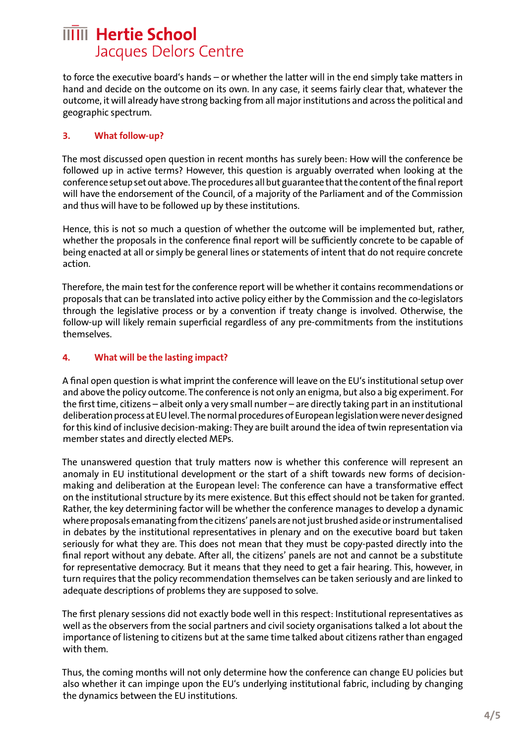### **IIIII** Hertie School Jacques Delors Centre

to force the executive board's hands – or whether the latter will in the end simply take matters in hand and decide on the outcome on its own. In any case, it seems fairly clear that, whatever the outcome, it will already have strong backing from all major institutions and across the political and geographic spectrum.

#### **3. What follow-up?**

The most discussed open question in recent months has surely been: How will the conference be followed up in active terms? However, this question is arguably overrated when looking at the conference setup set out above. The procedures all but guarantee that the content of the final report will have the endorsement of the Council, of a majority of the Parliament and of the Commission and thus will have to be followed up by these institutions.

Hence, this is not so much a question of whether the outcome will be implemented but, rather, whether the proposals in the conference final report will be sufficiently concrete to be capable of being enacted at all or simply be general lines or statements of intent that do not require concrete action.

Therefore, the main test for the conference report will be whether it contains recommendations or proposals that can be translated into active policy either by the Commission and the co-legislators through the legislative process or by a convention if treaty change is involved. Otherwise, the follow-up will likely remain superficial regardless of any pre-commitments from the institutions themselves.

#### **4. What will be the lasting impact?**

A final open question is what imprint the conference will leave on the EU's institutional setup over and above the policy outcome. The conference is not only an enigma, but also a big experiment. For the first time, citizens – albeit only a very small number – are directly taking part in an institutional deliberation process at EU level. The normal procedures of European legislation were never designed for this kind of inclusive decision-making: They are built around the idea of twin representation via member states and directly elected MEPs.

The unanswered question that truly matters now is whether this conference will represent an anomaly in EU institutional development or the start of a shift towards new forms of decisionmaking and deliberation at the European level: The conference can have a transformative effect on the institutional structure by its mere existence. But this effect should not be taken for granted. Rather, the key determining factor will be whether the conference manages to develop a dynamic where proposals emanating from the citizens' panels are not just brushed aside or instrumentalised in debates by the institutional representatives in plenary and on the executive board but taken seriously for what they are. This does not mean that they must be copy-pasted directly into the final report without any debate. After all, the citizens' panels are not and cannot be a substitute for representative democracy. But it means that they need to get a fair hearing. This, however, in turn requires that the policy recommendation themselves can be taken seriously and are linked to adequate descriptions of problems they are supposed to solve.

The first plenary sessions did not exactly bode well in this respect: Institutional representatives as well as the observers from the social partners and civil society organisations talked a lot about the importance of listening to citizens but at the same time talked about citizens rather than engaged with them.

Thus, the coming months will not only determine how the conference can change EU policies but also whether it can impinge upon the EU's underlying institutional fabric, including by changing the dynamics between the EU institutions.